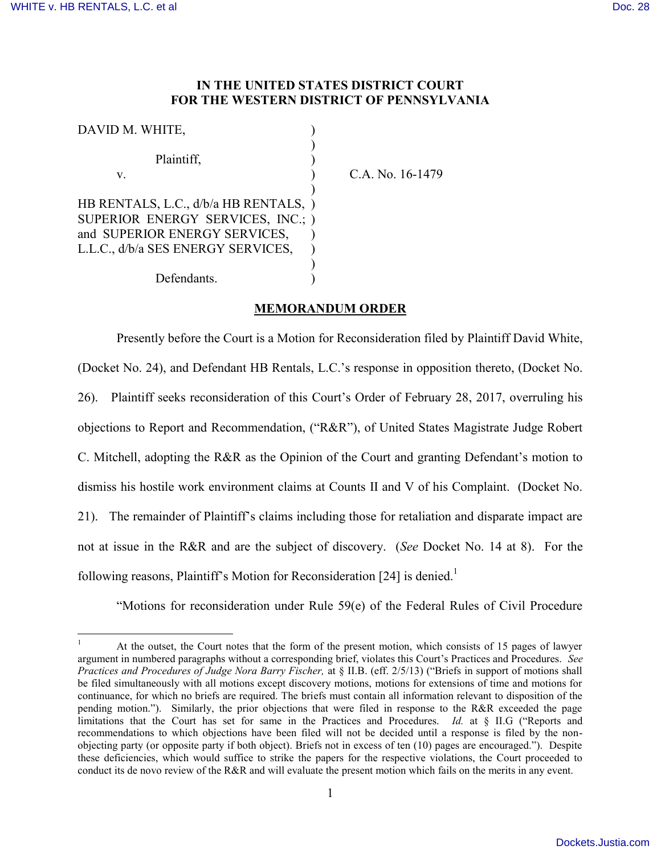$\overline{a}$ 

## **IN THE UNITED STATES DISTRICT COURT FOR THE WESTERN DISTRICT OF PENNSYLVANIA**

| DAVID M. WHITE,                       |  |
|---------------------------------------|--|
|                                       |  |
| Plaintiff,                            |  |
| V.                                    |  |
|                                       |  |
| HB RENTALS, L.C., d/b/a HB RENTALS, ) |  |
| SUPERIOR ENERGY SERVICES, INC.; )     |  |
| and SUPERIOR ENERGY SERVICES,         |  |
| L.L.C., d/b/a SES ENERGY SERVICES,    |  |
|                                       |  |
| Defendants.                           |  |

C.A. No. 16-1479

## **MEMORANDUM ORDER**

Presently before the Court is a Motion for Reconsideration filed by Plaintiff David White, (Docket No. 24), and Defendant HB Rentals, L.C.'s response in opposition thereto, (Docket No. 26). Plaintiff seeks reconsideration of this Court's Order of February 28, 2017, overruling his objections to Report and Recommendation, ("R&R"), of United States Magistrate Judge Robert C. Mitchell, adopting the R&R as the Opinion of the Court and granting Defendant's motion to dismiss his hostile work environment claims at Counts II and V of his Complaint. (Docket No. 21). The remainder of Plaintiff's claims including those for retaliation and disparate impact are not at issue in the R&R and are the subject of discovery. (*See* Docket No. 14 at 8). For the following reasons, Plaintiff's Motion for Reconsideration [24] is denied.<sup>1</sup>

"Motions for reconsideration under Rule 59(e) of the Federal Rules of Civil Procedure

At the outset, the Court notes that the form of the present motion, which consists of 15 pages of lawyer argument in numbered paragraphs without a corresponding brief, violates this Court's Practices and Procedures. *See Practices and Procedures of Judge Nora Barry Fischer,* at § II.B. (eff. 2/5/13) ("Briefs in support of motions shall be filed simultaneously with all motions except discovery motions, motions for extensions of time and motions for continuance, for which no briefs are required. The briefs must contain all information relevant to disposition of the pending motion."). Similarly, the prior objections that were filed in response to the R&R exceeded the page limitations that the Court has set for same in the Practices and Procedures. *Id.* at § II.G ("Reports and recommendations to which objections have been filed will not be decided until a response is filed by the nonobjecting party (or opposite party if both object). Briefs not in excess of ten (10) pages are encouraged."). Despite these deficiencies, which would suffice to strike the papers for the respective violations, the Court proceeded to conduct its de novo review of the R&R and will evaluate the present motion which fails on the merits in any event.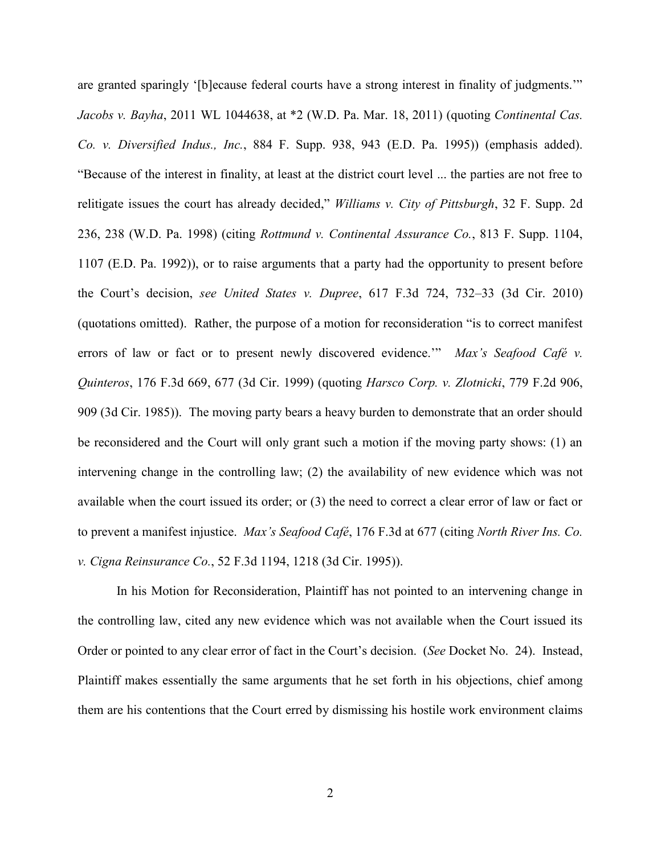are granted sparingly '[b]ecause federal courts have a strong interest in finality of judgments.'" *Jacobs v. Bayha*, 2011 WL 1044638, at \*2 (W.D. Pa. Mar. 18, 2011) (quoting *Continental Cas. Co. v. Diversified Indus., Inc.*, 884 F. Supp. 938, 943 (E.D. Pa. 1995)) (emphasis added). "Because of the interest in finality, at least at the district court level ... the parties are not free to relitigate issues the court has already decided," *Williams v. City of Pittsburgh*, 32 F. Supp. 2d 236, 238 (W.D. Pa. 1998) (citing *Rottmund v. Continental Assurance Co.*, 813 F. Supp. 1104, 1107 (E.D. Pa. 1992)), or to raise arguments that a party had the opportunity to present before the Court's decision, *see United States v. Dupree*, 617 F.3d 724, 732–33 (3d Cir. 2010) (quotations omitted). Rather, the purpose of a motion for reconsideration "is to correct manifest errors of law or fact or to present newly discovered evidence.'" *Max's Seafood Café v. Quinteros*, 176 F.3d 669, 677 (3d Cir. 1999) (quoting *Harsco Corp. v. Zlotnicki*, 779 F.2d 906, 909 (3d Cir. 1985)). The moving party bears a heavy burden to demonstrate that an order should be reconsidered and the Court will only grant such a motion if the moving party shows: (1) an intervening change in the controlling law; (2) the availability of new evidence which was not available when the court issued its order; or (3) the need to correct a clear error of law or fact or to prevent a manifest injustice. *Max's Seafood Café*, 176 F.3d at 677 (citing *North River Ins. Co. v. Cigna Reinsurance Co.*, 52 F.3d 1194, 1218 (3d Cir. 1995)).

In his Motion for Reconsideration, Plaintiff has not pointed to an intervening change in the controlling law, cited any new evidence which was not available when the Court issued its Order or pointed to any clear error of fact in the Court's decision. (*See* Docket No. 24). Instead, Plaintiff makes essentially the same arguments that he set forth in his objections, chief among them are his contentions that the Court erred by dismissing his hostile work environment claims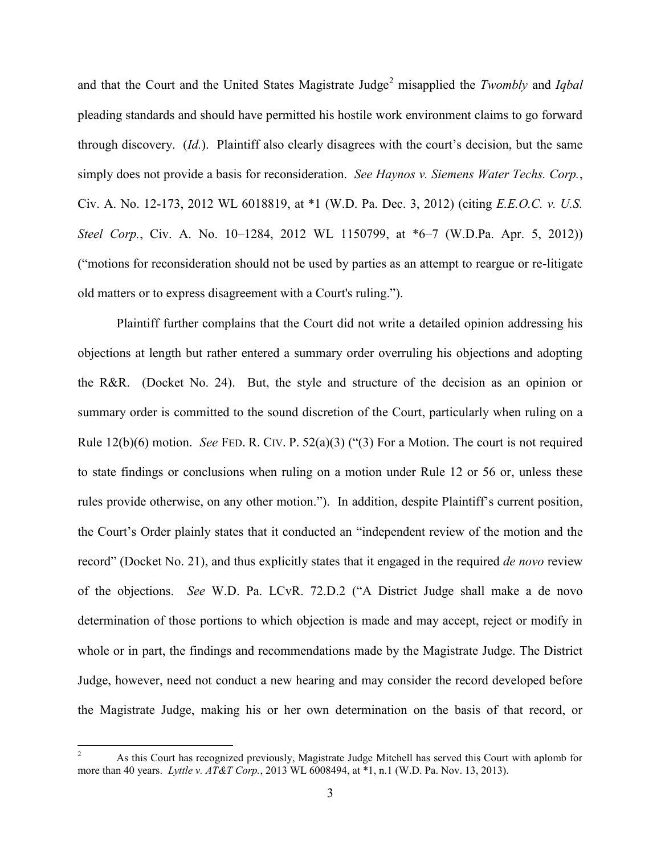and that the Court and the United States Magistrate Judge<sup>2</sup> misapplied the *Twombly* and *Igbal* pleading standards and should have permitted his hostile work environment claims to go forward through discovery. (*Id.*). Plaintiff also clearly disagrees with the court's decision, but the same simply does not provide a basis for reconsideration. *See Haynos v. Siemens Water Techs. Corp.*, Civ. A. No. 12-173, 2012 WL 6018819, at \*1 (W.D. Pa. Dec. 3, 2012) (citing *E.E.O.C. v. U.S. Steel Corp.*, Civ. A. No. 10–1284, 2012 WL 1150799, at \*6–7 (W.D.Pa. Apr. 5, 2012)) ("motions for reconsideration should not be used by parties as an attempt to reargue or re-litigate old matters or to express disagreement with a Court's ruling.").

Plaintiff further complains that the Court did not write a detailed opinion addressing his objections at length but rather entered a summary order overruling his objections and adopting the R&R. (Docket No. 24). But, the style and structure of the decision as an opinion or summary order is committed to the sound discretion of the Court, particularly when ruling on a Rule 12(b)(6) motion. *See* FED. R. CIV. P. 52(a)(3) ("(3) For a Motion. The court is not required to state findings or conclusions when ruling on a motion under Rule 12 or 56 or, unless these rules provide otherwise, on any other motion."). In addition, despite Plaintiff's current position, the Court's Order plainly states that it conducted an "independent review of the motion and the record" (Docket No. 21), and thus explicitly states that it engaged in the required *de novo* review of the objections. *See* W.D. Pa. LCvR. 72.D.2 ("A District Judge shall make a de novo determination of those portions to which objection is made and may accept, reject or modify in whole or in part, the findings and recommendations made by the Magistrate Judge. The District Judge, however, need not conduct a new hearing and may consider the record developed before the Magistrate Judge, making his or her own determination on the basis of that record, or

 $\mathfrak{Z}$ <sup>2</sup> As this Court has recognized previously, Magistrate Judge Mitchell has served this Court with aplomb for more than 40 years. *Lyttle v. AT&T Corp.*, 2013 WL 6008494, at \*1, n.1 (W.D. Pa. Nov. 13, 2013).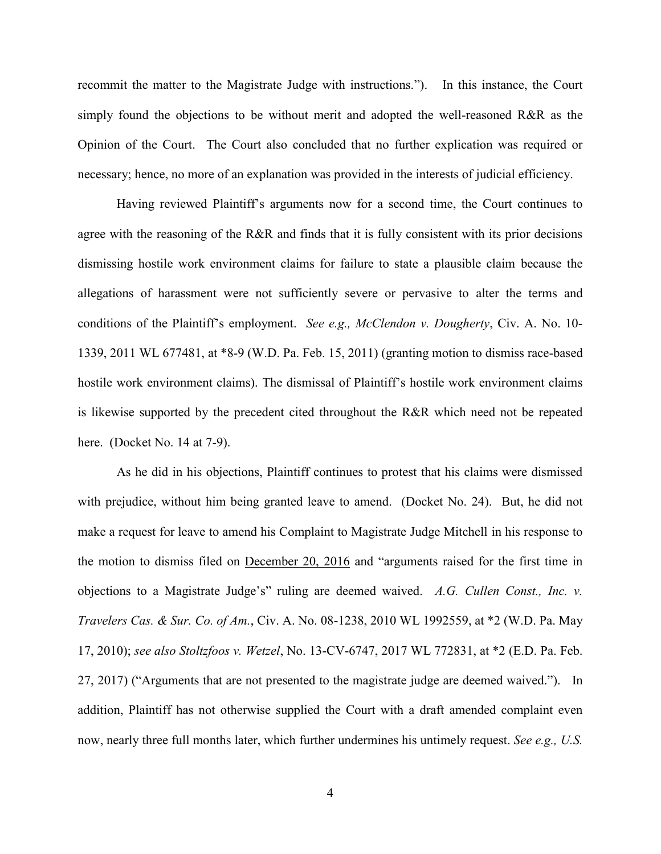recommit the matter to the Magistrate Judge with instructions."). In this instance, the Court simply found the objections to be without merit and adopted the well-reasoned R&R as the Opinion of the Court. The Court also concluded that no further explication was required or necessary; hence, no more of an explanation was provided in the interests of judicial efficiency.

Having reviewed Plaintiff's arguments now for a second time, the Court continues to agree with the reasoning of the R&R and finds that it is fully consistent with its prior decisions dismissing hostile work environment claims for failure to state a plausible claim because the allegations of harassment were not sufficiently severe or pervasive to alter the terms and conditions of the Plaintiff's employment. *See e.g., McClendon v. Dougherty*, Civ. A. No. 10- 1339, 2011 WL 677481, at \*8-9 (W.D. Pa. Feb. 15, 2011) (granting motion to dismiss race-based hostile work environment claims). The dismissal of Plaintiff's hostile work environment claims is likewise supported by the precedent cited throughout the R&R which need not be repeated here. (Docket No. 14 at 7-9).

As he did in his objections, Plaintiff continues to protest that his claims were dismissed with prejudice, without him being granted leave to amend. (Docket No. 24). But, he did not make a request for leave to amend his Complaint to Magistrate Judge Mitchell in his response to the motion to dismiss filed on December 20, 2016 and "arguments raised for the first time in objections to a Magistrate Judge's" ruling are deemed waived. *A.G. Cullen Const., Inc. v. Travelers Cas. & Sur. Co. of Am.*, Civ. A. No. 08-1238, 2010 WL 1992559, at \*2 (W.D. Pa. May 17, 2010); *see also Stoltzfoos v. Wetzel*, No. 13-CV-6747, 2017 WL 772831, at \*2 (E.D. Pa. Feb. 27, 2017) ("Arguments that are not presented to the magistrate judge are deemed waived."). In addition, Plaintiff has not otherwise supplied the Court with a draft amended complaint even now, nearly three full months later, which further undermines his untimely request. *See e.g., U.S.*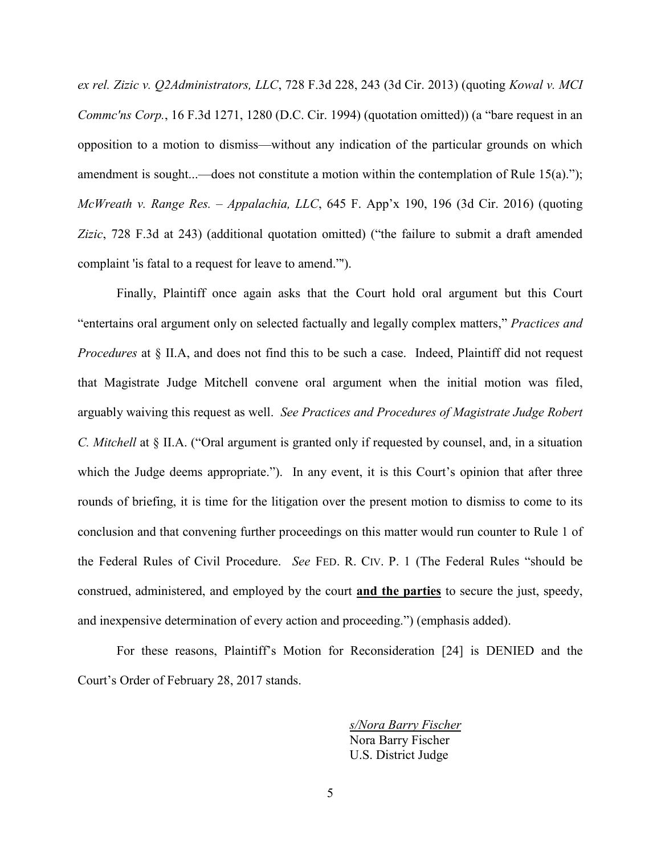*ex rel. Zizic v. Q2Administrators, LLC*, 728 F.3d 228, 243 (3d Cir. 2013) (quoting *Kowal v. MCI Commc'ns Corp.*, 16 F.3d 1271, 1280 (D.C. Cir. 1994) (quotation omitted)) (a "bare request in an opposition to a motion to dismiss—without any indication of the particular grounds on which amendment is sought...—does not constitute a motion within the contemplation of Rule 15(a)."); *McWreath v. Range Res. – Appalachia, LLC*, 645 F. App'x 190, 196 (3d Cir. 2016) (quoting *Zizic*, 728 F.3d at 243) (additional quotation omitted) ("the failure to submit a draft amended complaint 'is fatal to a request for leave to amend."').

Finally, Plaintiff once again asks that the Court hold oral argument but this Court "entertains oral argument only on selected factually and legally complex matters," *Practices and Procedures* at § II.A, and does not find this to be such a case. Indeed, Plaintiff did not request that Magistrate Judge Mitchell convene oral argument when the initial motion was filed, arguably waiving this request as well. *See Practices and Procedures of Magistrate Judge Robert C. Mitchell* at § II.A. ("Oral argument is granted only if requested by counsel, and, in a situation which the Judge deems appropriate."). In any event, it is this Court's opinion that after three rounds of briefing, it is time for the litigation over the present motion to dismiss to come to its conclusion and that convening further proceedings on this matter would run counter to Rule 1 of the Federal Rules of Civil Procedure. *See* FED. R. CIV. P. 1 (The Federal Rules "should be construed, administered, and employed by the court **and the parties** to secure the just, speedy, and inexpensive determination of every action and proceeding.") (emphasis added).

For these reasons, Plaintiff's Motion for Reconsideration [24] is DENIED and the Court's Order of February 28, 2017 stands.

> *s/Nora Barry Fischer* Nora Barry Fischer U.S. District Judge